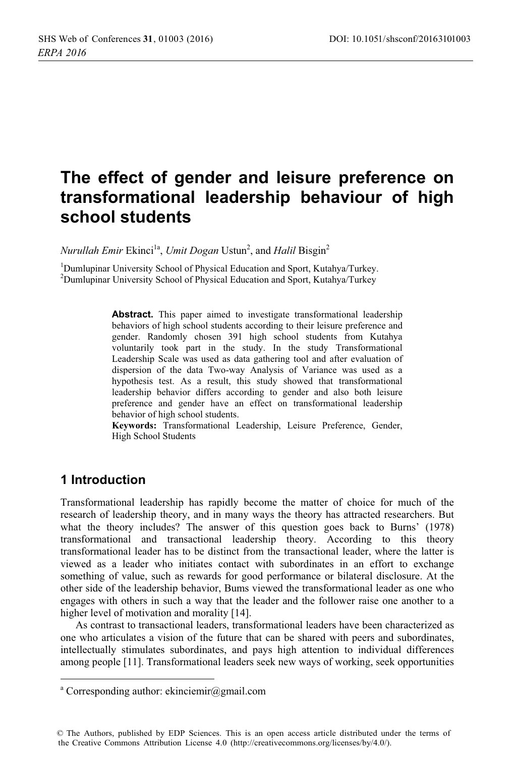# The effect of gender and leisure preference on transformational leadership behaviour of high school students

Nurullah Emir Ekinci<sup>1a</sup>, Umit Dogan Ustun<sup>2</sup>, and Halil Bisgin<sup>2</sup>

<sup>1</sup>Dumlupinar University School of Physical Education and Sport, Kutahya/Turkey. <sup>2</sup>Dumlupinar University School of Physical Education and Sport, Kutahya/Turkey

> **Abstract.** This paper aimed to investigate transformational leadership behaviors of high school students according to their leisure preference and gender. Randomly chosen 391 high school students from Kutahya voluntarily took part in the study. In the study Transformational Leadership Scale was used as data gathering tool and after evaluation of dispersion of the data Two-way Analysis of Variance was used as a hypothesis test. As a result, this study showed that transformational leadership behavior differs according to gender and also both leisure preference and gender have an effect on transformational leadership behavior of high school students.

> Keywords: Transformational Leadership, Leisure Preference, Gender, High School Students

## 1 Introduction

Transformational leadership has rapidly become the matter of choice for much of the research of leadership theory, and in many ways the theory has attracted researchers. But what the theory includes? The answer of this question goes back to Burns' (1978) transformational and transactional leadership theory. According to this theory transformational leader has to be distinct from the transactional leader, where the latter is viewed as a leader who initiates contact with subordinates in an effort to exchange something of value, such as rewards for good performance or bilateral disclosure. At the other side of the leadership behavior, Bums viewed the transformational leader as one who engages with others in such a way that the leader and the follower raise one another to a higher level of motivation and morality [14].

As contrast to transactional leaders, transformational leaders have been characterized as one who articulates a vision of the future that can be shared with peers and subordinates, intellectually stimulates subordinates, and pays high attention to individual differences among people [11]. Transformational leaders seek new ways of working, seek opportunities

<sup>&</sup>lt;sup>a</sup> Corresponding author: ekinciemir@gmail.com

<sup>©</sup> The Authors, published by EDP Sciences. This is an open access article distributed under the terms of the Creative Commons Attribution License 4.0 (http://creativecommons.org/licenses/by/4.0/).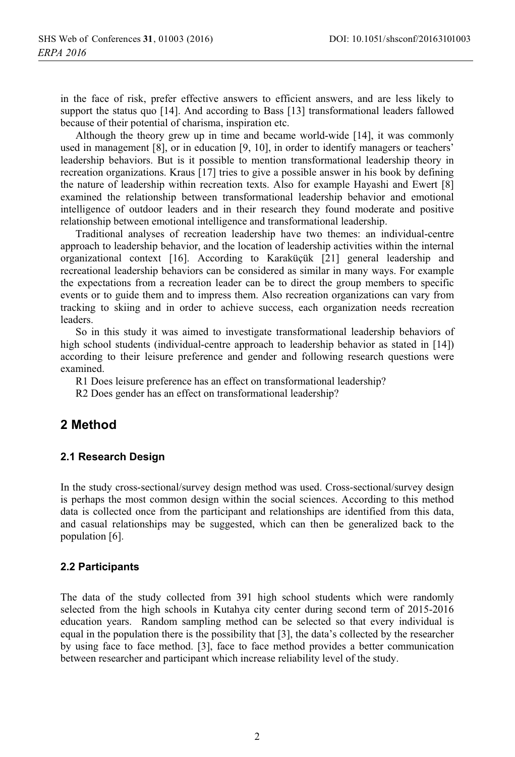in the face of risk, prefer effective answers to efficient answers, and are less likely to support the status quo [14]. And according to Bass [13] transformational leaders fallowed because of their potential of charisma, inspiration etc.

Although the theory grew up in time and became world-wide [14], it was commonly used in management [8], or in education [9, 10], in order to identify managers or teachers' leadership behaviors. But is it possible to mention transformational leadership theory in recreation organizations. Kraus [17] tries to give a possible answer in his book by defining the nature of leadership within recreation texts. Also for example Hayashi and Ewert [8] examined the relationship between transformational leadership behavior and emotional intelligence of outdoor leaders and in their research they found moderate and positive relationship between emotional intelligence and transformational leadership.

Traditional analyses of recreation leadership have two themes: an individual-centre approach to leadership behavior, and the location of leadership activities within the internal organizational context [16]. According to Karaküçük [21] general leadership and recreational leadership behaviors can be considered as similar in many ways. For example the expectations from a recreation leader can be to direct the group members to specific events or to guide them and to impress them. Also recreation organizations can vary from tracking to skiing and in order to achieve success, each organization needs recreation leaders.

So in this study it was aimed to investigate transformational leadership behaviors of high school students (individual-centre approach to leadership behavior as stated in [14]) according to their leisure preference and gender and following research questions were examined.

R1 Does leisure preference has an effect on transformational leadership?

R2 Does gender has an effect on transformational leadership?

## 2 Method

#### 2.1 Research Design

In the study cross-sectional/survey design method was used. Cross-sectional/survey design is perhaps the most common design within the social sciences. According to this method data is collected once from the participant and relationships are identified from this data, and casual relationships may be suggested, which can then be generalized back to the population [6].

#### 2.2 Participants

The data of the study collected from 391 high school students which were randomly selected from the high schools in Kutahya city center during second term of 2015-2016 education years. Random sampling method can be selected so that every individual is equal in the population there is the possibility that [3], the data's collected by the researcher by using face to face method. [3], face to face method provides a better communication between researcher and participant which increase reliability level of the study.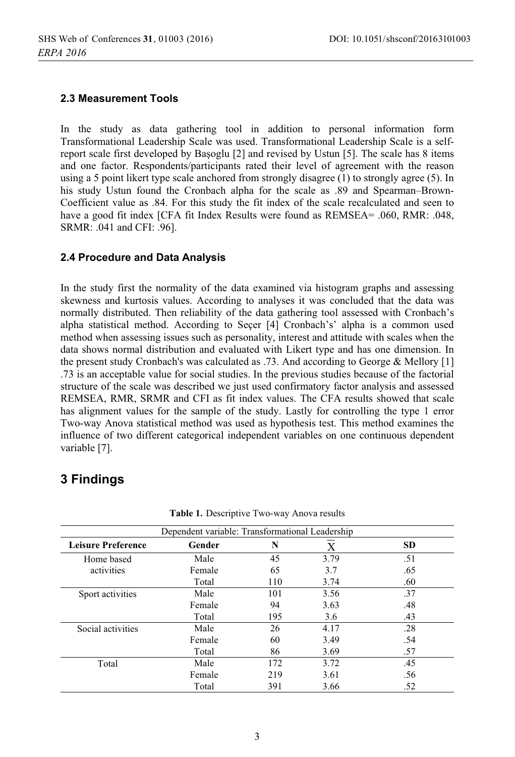#### 2.3 Measurement Tools

In the study as data gathering tool in addition to personal information form Transformational Leadership Scale was used. Transformational Leadership Scale is a selfreport scale first developed by Basoglu [2] and revised by Ustun [5]. The scale has 8 items and one factor. Respondents/participants rated their level of agreement with the reason using a 5 point likert type scale anchored from strongly disagree  $(1)$  to strongly agree  $(5)$ . In his study Ustun found the Cronbach alpha for the scale as .89 and Spearman-Brown-Coefficient value as .84. For this study the fit index of the scale recalculated and seen to have a good fit index [CFA fit Index Results were found as REMSEA= .060, RMR: .048, SRMR: .041 and CFI: .96].

#### 2.4 Procedure and Data Analysis

In the study first the normality of the data examined via histogram graphs and assessing skewness and kurtosis values. According to analyses it was concluded that the data was normally distributed. Then reliability of the data gathering tool assessed with Cronbach's alpha statistical method. According to Secer [4] Cronbach's' alpha is a common used method when assessing issues such as personality, interest and attitude with scales when the data shows normal distribution and evaluated with Likert type and has one dimension. In the present study Cronbach's was calculated as .73. And according to George & Mellory [1] .73 is an acceptable value for social studies. In the previous studies because of the factorial structure of the scale was described we just used confirmatory factor analysis and assessed REMSEA, RMR, SRMR and CFI as fit index values. The CFA results showed that scale has alignment values for the sample of the study. Lastly for controlling the type 1 error Two-way Anova statistical method was used as hypothesis test. This method examines the influence of two different categorical independent variables on one continuous dependent variable [7].

## 3 Findings

| Dependent variable: Transformational Leadership |        |     |      |           |  |  |
|-------------------------------------------------|--------|-----|------|-----------|--|--|
| <b>Leisure Preference</b>                       | Gender | N   | X    | <b>SD</b> |  |  |
| Home based                                      | Male   | 45  | 3.79 | .51       |  |  |
| activities                                      | Female | 65  | 3.7  | .65       |  |  |
|                                                 | Total  | 110 | 3.74 | .60       |  |  |
| Sport activities                                | Male   | 101 | 3.56 | .37       |  |  |
|                                                 | Female | 94  | 3.63 | .48       |  |  |
|                                                 | Total  | 195 | 3.6  | .43       |  |  |
| Social activities                               | Male   | 26  | 4.17 | .28       |  |  |
|                                                 | Female | 60  | 3.49 | .54       |  |  |
|                                                 | Total  | 86  | 3.69 | .57       |  |  |
| Total                                           | Male   | 172 | 3.72 | .45       |  |  |
|                                                 | Female | 219 | 3.61 | .56       |  |  |
|                                                 | Total  | 391 | 3.66 | .52       |  |  |

Table 1. Descriptive Two-way Anova results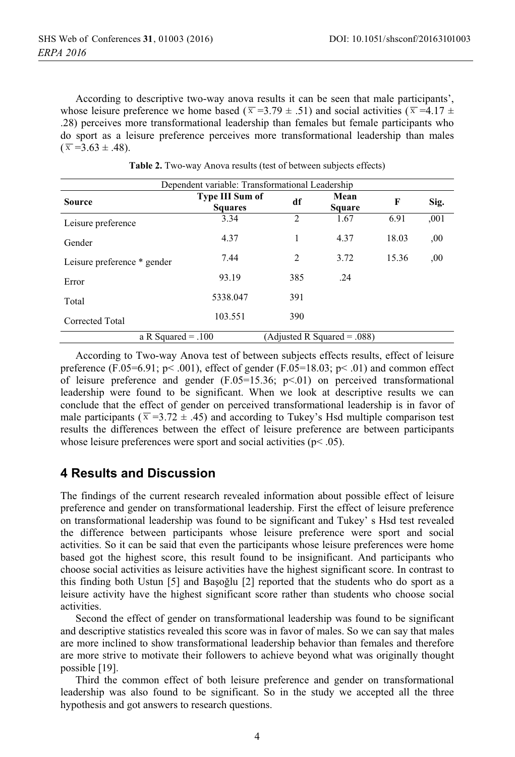According to descriptive two-way anova results it can be seen that male participants', whose leisure preference we home based ( $\overline{x}$  =3.79 ± .51) and social activities ( $\overline{x}$  =4.17 ± .28) perceives more transformational leadership than females but female participants who do sport as a leisure preference perceives more transformational leadership than males  $(\bar{x} = 3.63 \pm .48)$ .

| Dependent variable: Transformational Leadership |                                          |                |                |       |      |  |  |  |
|-------------------------------------------------|------------------------------------------|----------------|----------------|-------|------|--|--|--|
| <b>Source</b>                                   | <b>Type III Sum of</b><br><b>Squares</b> | df             | Mean<br>Square | F     | Sig. |  |  |  |
| Leisure preference                              | 3.34                                     | $\overline{c}$ | 1.67           | 6.91  | ,001 |  |  |  |
| Gender                                          | 4.37                                     |                | 4.37           | 18.03 | ,00, |  |  |  |
| Leisure preference * gender                     | 7.44                                     | 2              | 3.72           | 15.36 | ,00  |  |  |  |
| Error                                           | 93.19                                    | 385            | .24            |       |      |  |  |  |
| Total                                           | 5338.047                                 | 391            |                |       |      |  |  |  |
| Corrected Total                                 | 103.551                                  | 390            |                |       |      |  |  |  |
| a R Squared = $.100$                            | $(Adjusted R Squared = .088)$            |                |                |       |      |  |  |  |

Table 2. Two-way Anova results (test of between subjects effects)

According to Two-way Anova test of between subjects effects results, effect of leisure preference (F.05=6.91; p< .001), effect of gender (F.05=18.03; p< .01) and common effect of leisure preference and gender  $(F.05=15.36; p<0.01)$  on perceived transformational leadership were found to be significant. When we look at descriptive results we can conclude that the effect of gender on perceived transformational leadership is in favor of male participants ( $\overline{x}$  =3.72 ± .45) and according to Tukey's Hsd multiple comparison test results the differences between the effect of leisure preference are between participants whose leisure preferences were sport and social activities ( $p$ < .05).

## **4 Results and Discussion**

The findings of the current research revealed information about possible effect of leisure preference and gender on transformational leadership. First the effect of leisure preference on transformational leadership was found to be significant and Tukey's Hsd test revealed the difference between participants whose leisure preference were sport and social activities. So it can be said that even the participants whose leisure preferences were home based got the highest score, this result found to be insignificant. And participants who choose social activities as leisure activities have the highest significant score. In contrast to this finding both Ustun [5] and Başoğlu [2] reported that the students who do sport as a leisure activity have the highest significant score rather than students who choose social activities

Second the effect of gender on transformational leadership was found to be significant and descriptive statistics revealed this score was in favor of males. So we can say that males are more inclined to show transformational leadership behavior than females and therefore are more strive to motivate their followers to achieve beyond what was originally thought possible [19].

Third the common effect of both leisure preference and gender on transformational leadership was also found to be significant. So in the study we accepted all the three hypothesis and got answers to research questions.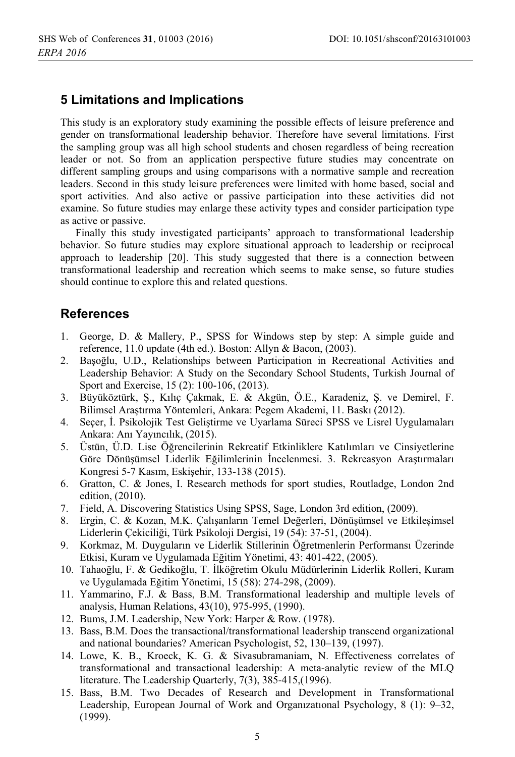# **5 Limitations and Implications**

This study is an exploratory study examining the possible effects of leisure preference and gender on transformational leadership behavior. Therefore have several limitations. First the sampling group was all high school students and chosen regardless of being recreation leader or not. So from an application perspective future studies may concentrate on different sampling groups and using comparisons with a normative sample and recreation leaders. Second in this study leisure preferences were limited with home based, social and sport activities. And also active or passive participation into these activities did not examine. So future studies may enlarge these activity types and consider participation type as active or passive.

Finally this study investigated participants' approach to transformational leadership behavior. So future studies may explore situational approach to leadership or reciprocal approach to leadership [20]. This study suggested that there is a connection between transformational leadership and recreation which seems to make sense, so future studies should continue to explore this and related questions.

# **References**

- 1. George, D. & Mallery, P., SPSS for Windows step by step: A simple guide and reference, 11.0 update (4th ed.). Boston: Allyn & Bacon, (2003).
- Bașoğlu, U.D., Relationships between Participation in Recreational Activities and  $2.$ Leadership Behavior: A Study on the Secondary School Students, Turkish Journal of Sport and Exercise, 15 (2): 100-106, (2013).
- Büyüköztürk, S., Kılıç Çakmak, E. & Akgün, Ö.E., Karadeniz, S. ve Demirel, F.  $3.$ Bilimsel Araştırma Yöntemleri, Ankara: Pegem Akademi, 11. Baskı (2012).
- 4. Seçer, İ. Psikolojik Test Geliştirme ve Uyarlama Süreci SPSS ve Lisrel Uygulamaları Ankara: Ani Yayıncılık, (2015).
- 5. Üstün, Ü.D. Lise Öğrencilerinin Rekreatif Etkinliklere Katılımları ve Cinsiyetlerine Göre Dönüsümsel Liderlik Eğilimlerinin İncelenmesi. 3. Rekreasyon Arastırmaları Kongresi 5-7 Kasım, Eskişehir, 133-138 (2015).
- 6. Gratton, C. & Jones, I. Research methods for sport studies, Routladge, London 2nd edition, (2010).
- 7. Field, A. Discovering Statistics Using SPSS, Sage, London 3rd edition, (2009).
- 8. Ergin, C. & Kozan, M.K. Calışanların Temel Değerleri, Dönüşümsel ve Etkilesimsel Liderlerin Çekiciliği, Türk Psikoloji Dergisi, 19 (54): 37-51, (2004).
- 9. Korkmaz, M. Duyguların ve Liderlik Stillerinin Öğretmenlerin Performansı Üzerinde Etkisi, Kuram ve Uygulamada Eğitim Yönetimi, 43: 401-422, (2005).
- 10. Tahaoğlu, F. & Gedikoğlu, T. İlköğretim Okulu Müdürlerinin Liderlik Rolleri, Kuram ve Uygulamada Eğitim Yönetimi, 15 (58): 274-298, (2009).
- 11. Yammarino, F.J. & Bass, B.M. Transformational leadership and multiple levels of analysis, Human Relations, 43(10), 975-995, (1990).
- 12. Bums, J.M. Leadership, New York: Harper & Row. (1978).
- 13. Bass, B.M. Does the transactional/transformational leadership transcend organizational and national boundaries? American Psychologist, 52, 130-139, (1997).
- 14. Lowe, K. B., Kroeck, K. G. & Sivasubramaniam, N. Effectiveness correlates of transformational and transactional leadership: A meta-analytic review of the MLQ literature. The Leadership Quarterly, 7(3), 385-415, (1996).
- 15. Bass, B.M. Two Decades of Research and Development in Transformational Leadership, European Journal of Work and Organizational Psychology, 8 (1): 9–32,  $(1999).$